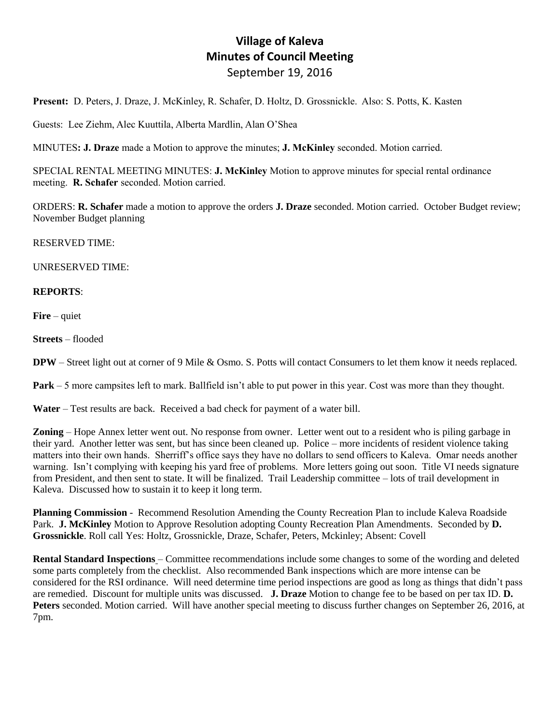# **Village of Kaleva Minutes of Council Meeting** September 19, 2016

**Present:** D. Peters, J. Draze, J. McKinley, R. Schafer, D. Holtz, D. Grossnickle. Also: S. Potts, K. Kasten

Guests: Lee Ziehm, Alec Kuuttila, Alberta Mardlin, Alan O'Shea

MINUTES**: J. Draze** made a Motion to approve the minutes; **J. McKinley** seconded. Motion carried.

SPECIAL RENTAL MEETING MINUTES: **J. McKinley** Motion to approve minutes for special rental ordinance meeting. **R. Schafer** seconded. Motion carried.

ORDERS: **R. Schafer** made a motion to approve the orders **J. Draze** seconded. Motion carried. October Budget review; November Budget planning

RESERVED TIME:

UNRESERVED TIME:

## **REPORTS**:

**Fire** – quiet

**Streets** – flooded

**DPW** – Street light out at corner of 9 Mile & Osmo. S. Potts will contact Consumers to let them know it needs replaced.

**Park** – 5 more campsites left to mark. Ballfield isn't able to put power in this year. Cost was more than they thought.

**Water** – Test results are back. Received a bad check for payment of a water bill.

**Zoning** – Hope Annex letter went out. No response from owner. Letter went out to a resident who is piling garbage in their yard. Another letter was sent, but has since been cleaned up. Police – more incidents of resident violence taking matters into their own hands. Sherriff's office says they have no dollars to send officers to Kaleva. Omar needs another warning. Isn't complying with keeping his yard free of problems. More letters going out soon. Title VI needs signature from President, and then sent to state. It will be finalized. Trail Leadership committee – lots of trail development in Kaleva. Discussed how to sustain it to keep it long term.

**Planning Commission** - Recommend Resolution Amending the County Recreation Plan to include Kaleva Roadside Park. **J. McKinley** Motion to Approve Resolution adopting County Recreation Plan Amendments. Seconded by **D. Grossnickle**. Roll call Yes: Holtz, Grossnickle, Draze, Schafer, Peters, Mckinley; Absent: Covell

**Rental Standard Inspections** – Committee recommendations include some changes to some of the wording and deleted some parts completely from the checklist. Also recommended Bank inspections which are more intense can be considered for the RSI ordinance. Will need determine time period inspections are good as long as things that didn't pass are remedied. Discount for multiple units was discussed. **J. Draze** Motion to change fee to be based on per tax ID. **D. Peters** seconded. Motion carried. Will have another special meeting to discuss further changes on September 26, 2016, at 7pm.